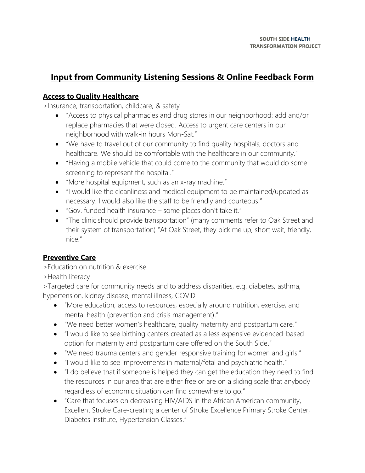# **Input from Community Listening Sessions & Online Feedback Form**

#### **Access to Quality Healthcare**

>Insurance, transportation, childcare, & safety

- "Access to physical pharmacies and drug stores in our neighborhood: add and/or replace pharmacies that were closed. Access to urgent care centers in our neighborhood with walk-in hours Mon-Sat."
- "We have to travel out of our community to find quality hospitals, doctors and healthcare. We should be comfortable with the healthcare in our community."
- "Having a mobile vehicle that could come to the community that would do some screening to represent the hospital."
- "More hospital equipment, such as an x-ray machine."
- "I would like the cleanliness and medical equipment to be maintained/updated as necessary. I would also like the staff to be friendly and courteous."
- "Gov. funded health insurance some places don't take it."
- "The clinic should provide transportation" (many comments refer to Oak Street and their system of transportation) "At Oak Street, they pick me up, short wait, friendly, nice."

### **Preventive Care**

>Education on nutrition & exercise

>Health literacy

>Targeted care for community needs and to address disparities, e.g. diabetes, asthma, hypertension, kidney disease, mental illness, COVID

- "More education, access to resources, especially around nutrition, exercise, and mental health (prevention and crisis management)."
- "We need better women's healthcare, quality maternity and postpartum care."
- "I would like to see birthing centers created as a less expensive evidenced-based option for maternity and postpartum care offered on the South Side."
- "We need trauma centers and gender responsive training for women and girls."
- "I would like to see improvements in maternal/fetal and psychiatric health."
- "I do believe that if someone is helped they can get the education they need to find the resources in our area that are either free or are on a sliding scale that anybody regardless of economic situation can find somewhere to go."
- "Care that focuses on decreasing HIV/AIDS in the African American community, Excellent Stroke Care-creating a center of Stroke Excellence Primary Stroke Center, Diabetes Institute, Hypertension Classes."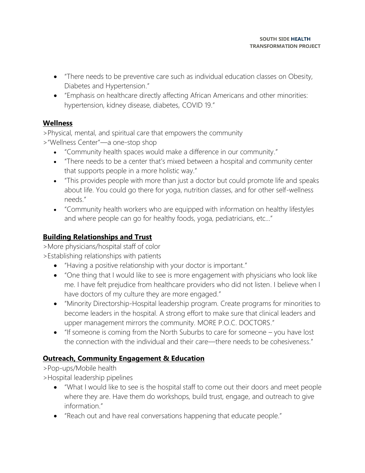- "There needs to be preventive care such as individual education classes on Obesity, Diabetes and Hypertension."
- "Emphasis on healthcare directly affecting African Americans and other minorities: hypertension, kidney disease, diabetes, COVID 19."

### **Wellness**

>Physical, mental, and spiritual care that empowers the community

>"Wellness Center"—a one-stop shop

- "Community health spaces would make a difference in our community."
- "There needs to be a center that's mixed between a hospital and community center that supports people in a more holistic way."
- "This provides people with more than just a doctor but could promote life and speaks about life. You could go there for yoga, nutrition classes, and for other self-wellness needs."
- "Community health workers who are equipped with information on healthy lifestyles and where people can go for healthy foods, yoga, pediatricians, etc…"

## **Building Relationships and Trust**

>More physicians/hospital staff of color

>Establishing relationships with patients

- "Having a positive relationship with your doctor is important."
- "One thing that I would like to see is more engagement with physicians who look like me. I have felt prejudice from healthcare providers who did not listen. I believe when I have doctors of my culture they are more engaged."
- "Minority Directorship-Hospital leadership program. Create programs for minorities to become leaders in the hospital. A strong effort to make sure that clinical leaders and upper management mirrors the community. MORE P.O.C. DOCTORS."
- "If someone is coming from the North Suburbs to care for someone you have lost the connection with the individual and their care—there needs to be cohesiveness."

### **Outreach, Community Engagement & Education**

>Pop-ups/Mobile health

>Hospital leadership pipelines

- "What I would like to see is the hospital staff to come out their doors and meet people where they are. Have them do workshops, build trust, engage, and outreach to give information."
- "Reach out and have real conversations happening that educate people."